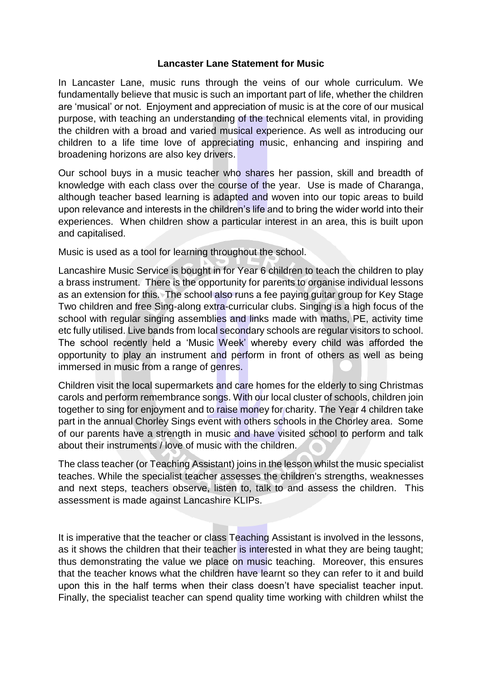## **Lancaster Lane Statement for Music**

In Lancaster Lane, music runs through the veins of our whole curriculum. We fundamentally believe that music is such an important part of life, whether the children are 'musical' or not. Enjoyment and appreciation of music is at the core of our musical purpose, with teaching an understanding of the technical elements vital, in providing the children with a broad and varied musical experience. As well as introducing our children to a life time love of appreciating music, enhancing and inspiring and broadening horizons are also key drivers.

Our school buys in a music teacher who shares her passion, skill and breadth of knowledge with each class over the course of the year. Use is made of Charanga, although teacher based learning is adapted and woven into our topic areas to build upon relevance and interests in the children's life and to bring the wider world into their experiences. When children show a particular interest in an area, this is built upon and capitalised.

Music is used as a tool for learning throughout the school.

Lancashire Music Service is bought in for Year 6 children to teach the children to play a brass instrument. There is the opportunity for parents to organise individual lessons as an extension for this. The school also runs a fee paying guitar group for Key Stage Two children and free Sing-along extra-curricular clubs. Singing is a high focus of the school with regular singing assemblies and links made with maths, PE, activity time etc fully utilised. Live bands from local secondary schools are regular visitors to school. The school recently held a 'Music Week' whereby every child was afforded the opportunity to play an instrument and perform in front of others as well as being immersed in music from a range of genres.

Children visit the local supermarkets and care homes for the elderly to sing Christmas carols and perform remembrance songs. With our local cluster of schools, children join together to sing for enjoyment and to raise money for charity. The Year 4 children take part in the annual Chorley Sings event with others schools in the Chorley area. Some of our parents have a strength in music and have visited school to perform and talk about their instruments / love of music with the children.

The class teacher (or Teaching Assistant) joins in the lesson whilst the music specialist teaches. While the specialist teacher assesses the children's strengths, weaknesses and next steps, teachers observe, listen to, talk to and assess the children. This assessment is made against Lancashire KLIPs.

It is imperative that the teacher or class Teaching Assistant is involved in the lessons, as it shows the children that their teacher is interested in what they are being taught; thus demonstrating the value we place on music teaching. Moreover, this ensures that the teacher knows what the children have learnt so they can refer to it and build upon this in the half terms when their class doesn't have specialist teacher input. Finally, the specialist teacher can spend quality time working with children whilst the